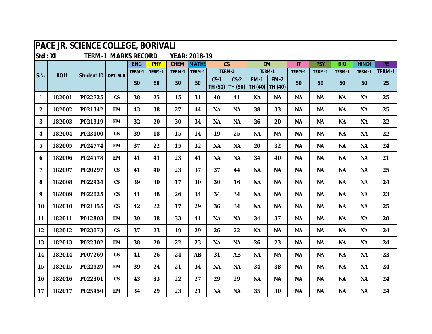|                | PACE JR. SCIENCE COLLEGE, BORIVALI |                   |                            |            |            |             |               |           |                             |                        |                        |                        |            |            |              |        |
|----------------|------------------------------------|-------------------|----------------------------|------------|------------|-------------|---------------|-----------|-----------------------------|------------------------|------------------------|------------------------|------------|------------|--------------|--------|
| Std: XI        |                                    |                   | <b>TERM-1 MARKS RECORD</b> |            |            |             | YEAR: 2018-19 |           |                             |                        |                        |                        |            |            |              |        |
|                |                                    |                   |                            | <b>ENG</b> | <b>PHY</b> | <b>CHEM</b> | <b>MATHS</b>  |           | CS                          | <b>EM</b>              |                        | $\mathsf{I}\mathsf{T}$ | <b>PSY</b> | <b>BIO</b> | <b>HINDI</b> | PE     |
| S.N.           | <b>ROLL</b>                        | <b>Student ID</b> | OPT. SUB                   | TERM-1     | TERM-1     | TERM-1      | TERM-1        |           | TERM-1                      | TERM-1                 |                        | TERM-1                 | TERM-1     | TERM-1     | TERM-1       | TERM-1 |
|                |                                    |                   |                            | 50         | 50         | 50          | 50            | $CS-1$    | $CS-2$<br>TH (50)   TH (50) | <b>EM-1</b><br>TH (40) | <b>EM-2</b><br>TH (40) | 50                     | 50         | 50         | 50           | 25     |
| $\mathbf 1$    | 182001                             | P022725           | $\mathsf{CS}\phantom{0}$   | 38         | 25         | 15          | 31            | 40        | 41                          | <b>NA</b>              | <b>NA</b>              | <b>NA</b>              | <b>NA</b>  | <b>NA</b>  | <b>NA</b>    | 25     |
| $\overline{2}$ | 182002                             | P021342           | <b>EM</b>                  | 43         | 38         | 27          | 44            | <b>NA</b> | <b>NA</b>                   | 38                     | 33                     | <b>NA</b>              | <b>NA</b>  | <b>NA</b>  | <b>NA</b>    | 25     |
| 3              | 182003                             | P021919           | <b>EM</b>                  | 32         | 20         | 30          | 34            | <b>NA</b> | <b>NA</b>                   | 26                     | 20                     | <b>NA</b>              | <b>NA</b>  | <b>NA</b>  | <b>NA</b>    | 22     |
| 4              | 182004                             | P023100           | $\mathsf{CS}$              | 39         | 18         | 15          | 14            | 19        | 25                          | <b>NA</b>              | <b>NA</b>              | <b>NA</b>              | <b>NA</b>  | <b>NA</b>  | <b>NA</b>    | 22     |
| 5              | 182005                             | P024774           | <b>EM</b>                  | 37         | 22         | 15          | 32            | <b>NA</b> | <b>NA</b>                   | 20                     | 32                     | <b>NA</b>              | <b>NA</b>  | <b>NA</b>  | <b>NA</b>    | 24     |
| 6              | 182006                             | P024578           | <b>EM</b>                  | 41         | 41         | 23          | 41            | <b>NA</b> | <b>NA</b>                   | 34                     | 40                     | <b>NA</b>              | <b>NA</b>  | <b>NA</b>  | <b>NA</b>    | 21     |
| $\overline{7}$ | 182007                             | P020297           | $\mathsf{CS}$              | 41         | 40         | 23          | 37            | 37        | 44                          | <b>NA</b>              | ΝA                     | <b>NA</b>              | <b>NA</b>  | <b>NA</b>  | <b>NA</b>    | 25     |
| 8              | 182008                             | P022934           | $\mathsf{CS}\phantom{0}$   | 39         | 30         | 17          | 30            | 30        | 16                          | <b>NA</b>              | <b>NA</b>              | <b>NA</b>              | <b>NA</b>  | <b>NA</b>  | <b>NA</b>    | 24     |
| 9              | 182009                             | P022025           | $\mathsf{CS}$              | 41         | 38         | 26          | 34            | 34        | 34                          | <b>NA</b>              | <b>NA</b>              | <b>NA</b>              | <b>NA</b>  | <b>NA</b>  | <b>NA</b>    | 23     |
| 10             | 182010                             | P021355           | $\mathsf{CS}$              | 42         | 22         | 17          | 29            | 36        | 34                          | <b>NA</b>              | <b>NA</b>              | <b>NA</b>              | <b>NA</b>  | <b>NA</b>  | <b>NA</b>    | 25     |
| 11             | 182011                             | P012803           | <b>EM</b>                  | 39         | 38         | 33          | 41            | <b>NA</b> | <b>NA</b>                   | 34                     | 37                     | <b>NA</b>              | <b>NA</b>  | <b>NA</b>  | <b>NA</b>    | 20     |
| 12             | 182012                             | P023073           | $\mathsf{CS}\phantom{0}$   | 37         | 23         | 19          | 29            | 26        | 22                          | <b>NA</b>              | <b>NA</b>              | <b>NA</b>              | <b>NA</b>  | <b>NA</b>  | <b>NA</b>    | 24     |
| 13             | 182013                             | P022302           | <b>EM</b>                  | 38         | 20         | 22          | 23            | <b>NA</b> | <b>NA</b>                   | 26                     | 23                     | <b>NA</b>              | <b>NA</b>  | <b>NA</b>  | <b>NA</b>    | 24     |
| 14             | 182014                             | P007269           | $\mathsf{CS}\phantom{0}$   | 41         | 26         | 24          | <b>AB</b>     | 31        | <b>AB</b>                   | <b>NA</b>              | <b>NA</b>              | <b>NA</b>              | <b>NA</b>  | <b>NA</b>  | <b>NA</b>    | 23     |
| 15             | 182015                             | P022929           | <b>EM</b>                  | 39         | 24         | 21          | 34            | <b>NA</b> | <b>NA</b>                   | 34                     | 38                     | <b>NA</b>              | <b>NA</b>  | <b>NA</b>  | <b>NA</b>    | 24     |
| 16             | 182016                             | P022301           | $\mathsf{CS}\phantom{0}$   | 43         | 33         | 22          | 27            | 29        | 29                          | <b>NA</b>              | <b>NA</b>              | <b>NA</b>              | <b>NA</b>  | <b>NA</b>  | <b>NA</b>    | 24     |
| 17             | 182017                             | P025450           | <b>EM</b>                  | 34         | 29         | 23          | 21            | <b>NA</b> | <b>NA</b>                   | 35                     | 30                     | <b>NA</b>              | <b>NA</b>  | <b>NA</b>  | <b>NA</b>    | 24     |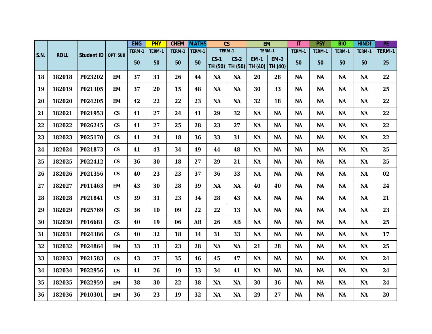|      |             |                   |                          | <b>ENG</b> | <b>PHY</b> | <b>CHEM</b> | <b>MATHS</b> |                   | $\overline{\text{CS}}$ | <b>EM</b>              |                        | $\overline{\mathsf{I}}$ | <b>PSY</b> | <b>BIO</b> | <b>HINDI</b> | PE     |
|------|-------------|-------------------|--------------------------|------------|------------|-------------|--------------|-------------------|------------------------|------------------------|------------------------|-------------------------|------------|------------|--------------|--------|
|      | <b>ROLL</b> |                   | OPT. SUB                 | TERM-1     | TERM-1     | TERM-1      | TERM-1       |                   | TERM-1                 | TERM-1                 |                        | TERM-1                  | TERM-1     | TERM-1     | TERM-1       | TERM-1 |
| S.N. |             | <b>Student ID</b> |                          | 50         | 50         | 50          | 50           | $CS-1$<br>TH (50) | $CS-2$<br>TH (50)      | <b>EM-1</b><br>TH (40) | <b>EM-2</b><br>TH (40) | 50                      | 50         | 50         | 50           | 25     |
| 18   | 182018      | P023202           | <b>EM</b>                | 37         | 31         | 26          | 44           | <b>NA</b>         | <b>NA</b>              | 20                     | 28                     | <b>NA</b>               | <b>NA</b>  | <b>NA</b>  | <b>NA</b>    | 22     |
| 19   | 182019      | P021305           | <b>EM</b>                | 37         | 20         | 15          | 48           | <b>NA</b>         | <b>NA</b>              | 30                     | 33                     | <b>NA</b>               | <b>NA</b>  | <b>NA</b>  | <b>NA</b>    | 25     |
| 20   | 182020      | P024205           | <b>EM</b>                | 42         | 22         | 22          | 23           | <b>NA</b>         | <b>NA</b>              | 32                     | 18                     | <b>NA</b>               | <b>NA</b>  | <b>NA</b>  | <b>NA</b>    | 22     |
| 21   | 182021      | P021953           | $\mathsf{CS}\phantom{0}$ | 41         | 27         | 24          | 41           | 29                | 32                     | <b>NA</b>              | <b>NA</b>              | <b>NA</b>               | <b>NA</b>  | <b>NA</b>  | <b>NA</b>    | 22     |
| 22   | 182022      | P026245           | $\mathsf{CS}\phantom{0}$ | 41         | 27         | 25          | 28           | 23                | 27                     | <b>NA</b>              | <b>NA</b>              | <b>NA</b>               | <b>NA</b>  | <b>NA</b>  | <b>NA</b>    | 22     |
| 23   | 182023      | P025170           | $\mathsf{CS}\phantom{0}$ | 41         | 24         | 18          | 36           | 33                | 31                     | <b>NA</b>              | <b>NA</b>              | <b>NA</b>               | <b>NA</b>  | <b>NA</b>  | <b>NA</b>    | 22     |
| 24   | 182024      | P021873           | $\mathsf{CS}\phantom{0}$ | 41         | 43         | 34          | 49           | 44                | 48                     | <b>NA</b>              | <b>NA</b>              | <b>NA</b>               | <b>NA</b>  | <b>NA</b>  | <b>NA</b>    | 25     |
| 25   | 182025      | P022412           | $\mathsf{CS}\phantom{0}$ | 36         | 30         | 18          | 27           | 29                | 21                     | <b>NA</b>              | <b>NA</b>              | <b>NA</b>               | <b>NA</b>  | <b>NA</b>  | <b>NA</b>    | 25     |
| 26   | 182026      | P021356           | $\mathsf{CS}\phantom{0}$ | 40         | 23         | 23          | 37           | 36                | 33                     | <b>NA</b>              | <b>NA</b>              | <b>NA</b>               | <b>NA</b>  | <b>NA</b>  | <b>NA</b>    | 02     |
| 27   | 182027      | P011463           | <b>EM</b>                | 43         | 30         | 28          | 39           | <b>NA</b>         | <b>NA</b>              | 40                     | 40                     | <b>NA</b>               | <b>NA</b>  | <b>NA</b>  | <b>NA</b>    | 24     |
| 28   | 182028      | P021841           | $\mathsf{CS}\phantom{0}$ | 39         | 31         | 23          | 34           | 28                | 43                     | <b>NA</b>              | <b>NA</b>              | <b>NA</b>               | <b>NA</b>  | <b>NA</b>  | <b>NA</b>    | 21     |
| 29   | 182029      | P025769           | $\mathsf{CS}$            | 36         | 10         | 09          | 22           | 22                | 13                     | <b>NA</b>              | <b>NA</b>              | <b>NA</b>               | <b>NA</b>  | <b>NA</b>  | <b>NA</b>    | 23     |
| 30   | 182030      | P016681           | $\mathsf{CS}\phantom{0}$ | 40         | 19         | 06          | AB           | 26                | <b>AB</b>              | <b>NA</b>              | <b>NA</b>              | <b>NA</b>               | <b>NA</b>  | <b>NA</b>  | <b>NA</b>    | 25     |
| 31   | 182031      | P024386           | $\mathsf{CS}\phantom{0}$ | 40         | 32         | 18          | 34           | 31                | 33                     | <b>NA</b>              | <b>NA</b>              | <b>NA</b>               | <b>NA</b>  | <b>NA</b>  | <b>NA</b>    | 17     |
| 32   | 182032      | P024864           | <b>EM</b>                | 33         | 31         | 23          | 28           | <b>NA</b>         | <b>NA</b>              | 21                     | 28                     | <b>NA</b>               | <b>NA</b>  | <b>NA</b>  | <b>NA</b>    | 25     |
| 33   | 182033      | P021583           | $\mathsf{CS}$            | 43         | 37         | 35          | 46           | 45                | 47                     | <b>NA</b>              | <b>NA</b>              | <b>NA</b>               | <b>NA</b>  | <b>NA</b>  | <b>NA</b>    | 24     |
| 34   | 182034      | P022956           | $\mathsf{CS}\phantom{0}$ | 41         | 26         | 19          | 33           | 34                | 41                     | <b>NA</b>              | <b>NA</b>              | <b>NA</b>               | <b>NA</b>  | <b>NA</b>  | <b>NA</b>    | 24     |
| 35   | 182035      | P022959           | <b>EM</b>                | 38         | 30         | 22          | 38           | <b>NA</b>         | <b>NA</b>              | 30                     | 36                     | <b>NA</b>               | <b>NA</b>  | <b>NA</b>  | <b>NA</b>    | 24     |
| 36   | 182036      | P010301           | <b>EM</b>                | 36         | 23         | 19          | 32           | <b>NA</b>         | <b>NA</b>              | 29                     | 27                     | <b>NA</b>               | <b>NA</b>  | <b>NA</b>  | <b>NA</b>    | 20     |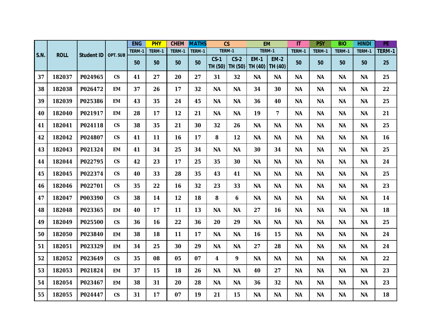|      |             |                   |                          | <b>ENG</b> | <b>PHY</b> | <b>CHEM</b> | <b>MATHS</b> |                   | $\overline{\text{CS}}$ |                        | <b>EM</b>               | $\overline{\mathsf{I}}$ | <b>PSY</b> | <b>BIO</b> | <b>HINDI</b> | PE     |
|------|-------------|-------------------|--------------------------|------------|------------|-------------|--------------|-------------------|------------------------|------------------------|-------------------------|-------------------------|------------|------------|--------------|--------|
|      |             |                   | OPT. SUB                 | TERM-1     | TERM-1     | TERM-1      | TERM-1       |                   | TERM-1                 |                        | TERM-1                  | TERM-1                  | TERM-1     | TERM-1     | TERM-1       | TERM-1 |
| S.N. | <b>ROLL</b> | <b>Student ID</b> |                          | 50         | 50         | 50          | 50           | $CS-1$<br>TH (50) | $CS-2$<br>TH (50)      | <b>EM-1</b><br>TH (40) | <b>EM-2</b><br>TH (40)  | 50                      | 50         | 50         | 50           | 25     |
| 37   | 182037      | P024965           | $\mathsf{CS}\phantom{0}$ | 41         | 27         | 20          | 27           | 31                | 32                     | <b>NA</b>              | <b>NA</b>               | <b>NA</b>               | <b>NA</b>  | <b>NA</b>  | <b>NA</b>    | 25     |
| 38   | 182038      | P026472           | <b>EM</b>                | 37         | 26         | 17          | 32           | <b>NA</b>         | <b>NA</b>              | 34                     | 30                      | <b>NA</b>               | <b>NA</b>  | <b>NA</b>  | <b>NA</b>    | 22     |
| 39   | 182039      | P025386           | <b>EM</b>                | 43         | 35         | 24          | 45           | <b>NA</b>         | <b>NA</b>              | 36                     | 40                      | <b>NA</b>               | <b>NA</b>  | <b>NA</b>  | <b>NA</b>    | 25     |
| 40   | 182040      | P021917           | <b>EM</b>                | 28         | 17         | 12          | 21           | <b>NA</b>         | <b>NA</b>              | 19                     | $\overline{\mathbf{z}}$ | <b>NA</b>               | <b>NA</b>  | <b>NA</b>  | <b>NA</b>    | 21     |
| 41   | 182041      | P024118           | $\mathsf{CS}\phantom{0}$ | 38         | 35         | 21          | 30           | 32                | 26                     | <b>NA</b>              | <b>NA</b>               | <b>NA</b>               | <b>NA</b>  | <b>NA</b>  | <b>NA</b>    | 25     |
| 42   | 182042      | P024807           | $\mathsf{CS}\phantom{0}$ | 41         | 11         | 16          | 17           | 8                 | 12                     | <b>NA</b>              | <b>NA</b>               | <b>NA</b>               | <b>NA</b>  | <b>NA</b>  | <b>NA</b>    | 16     |
| 43   | 182043      | P021324           | <b>EM</b>                | 41         | 34         | 25          | 34           | <b>NA</b>         | <b>NA</b>              | 30                     | 34                      | <b>NA</b>               | <b>NA</b>  | <b>NA</b>  | <b>NA</b>    | 25     |
| 44   | 182044      | P022795           | $\mathsf{CS}\phantom{0}$ | 42         | 23         | 17          | 25           | 35                | 30                     | <b>NA</b>              | <b>NA</b>               | <b>NA</b>               | <b>NA</b>  | <b>NA</b>  | <b>NA</b>    | 24     |
| 45   | 182045      | P022374           | $\mathsf{CS}$            | 40         | 33         | 28          | 35           | 43                | 41                     | <b>NA</b>              | <b>NA</b>               | <b>NA</b>               | <b>NA</b>  | <b>NA</b>  | <b>NA</b>    | 25     |
| 46   | 182046      | P022701           | $\mathsf{CS}\phantom{0}$ | 35         | 22         | 16          | 32           | 23                | 33                     | <b>NA</b>              | <b>NA</b>               | <b>NA</b>               | <b>NA</b>  | <b>NA</b>  | <b>NA</b>    | 23     |
| 47   | 182047      | P003390           | $\mathsf{CS}\phantom{0}$ | 38         | 14         | 12          | 18           | 8                 | 6                      | <b>NA</b>              | <b>NA</b>               | <b>NA</b>               | <b>NA</b>  | <b>NA</b>  | <b>NA</b>    | 14     |
| 48   | 182048      | P023365           | <b>EM</b>                | 40         | 17         | 11          | 13           | <b>NA</b>         | <b>NA</b>              | 27                     | 16                      | <b>NA</b>               | <b>NA</b>  | <b>NA</b>  | <b>NA</b>    | 18     |
| 49   | 182049      | P025500           | $\mathsf{CS}\phantom{0}$ | 36         | 16         | 22          | 36           | 20                | 29                     | <b>NA</b>              | <b>NA</b>               | <b>NA</b>               | <b>NA</b>  | <b>NA</b>  | <b>NA</b>    | 25     |
| 50   | 182050      | P023840           | <b>EM</b>                | 38         | 18         | 11          | 17           | <b>NA</b>         | <b>NA</b>              | 16                     | 15                      | <b>NA</b>               | <b>NA</b>  | <b>NA</b>  | <b>NA</b>    | 24     |
| 51   | 182051      | P023329           | <b>EM</b>                | 34         | 25         | 30          | 29           | <b>NA</b>         | <b>NA</b>              | 27                     | 28                      | <b>NA</b>               | <b>NA</b>  | <b>NA</b>  | <b>NA</b>    | 24     |
| 52   | 182052      | P023649           | $\mathsf{CS}$            | 35         | 08         | 05          | 07           | 4                 | 9                      | <b>NA</b>              | <b>NA</b>               | <b>NA</b>               | <b>NA</b>  | <b>NA</b>  | <b>NA</b>    | 22     |
| 53   | 182053      | P021824           | <b>EM</b>                | 37         | 15         | 18          | 26           | <b>NA</b>         | <b>NA</b>              | 40                     | 27                      | <b>NA</b>               | <b>NA</b>  | <b>NA</b>  | <b>NA</b>    | 23     |
| 54   | 182054      | P023467           | <b>EM</b>                | 38         | 31         | 20          | 28           | <b>NA</b>         | <b>NA</b>              | 36                     | 32                      | <b>NA</b>               | <b>NA</b>  | <b>NA</b>  | <b>NA</b>    | 23     |
| 55   | 182055      | P024447           | $\mathsf{CS}\phantom{0}$ | 31         | 17         | 07          | 19           | 21                | 15                     | <b>NA</b>              | <b>NA</b>               | <b>NA</b>               | <b>NA</b>  | <b>NA</b>  | <b>NA</b>    | 18     |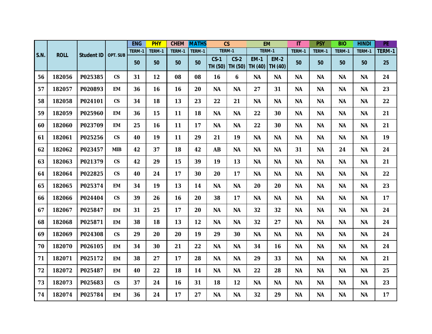|      |             |                   |                          | <b>ENG</b> | <b>PHY</b> | <b>CHEM</b> | <b>MATHS</b> |                   | $\overline{\text{CS}}$ |                        | <b>EM</b>              | $\overline{\mathsf{I}}$ | <b>PSY</b> | <b>BIO</b> | <b>HINDI</b> | PE     |
|------|-------------|-------------------|--------------------------|------------|------------|-------------|--------------|-------------------|------------------------|------------------------|------------------------|-------------------------|------------|------------|--------------|--------|
|      |             |                   |                          | TERM-1     | TERM-1     | TERM-1      | TERM-1       |                   | TERM-1                 | TERM-1                 |                        | TERM-1                  | TERM-1     | TERM-1     | TERM-1       | TERM-1 |
| S.N. | <b>ROLL</b> | <b>Student ID</b> | OPT. SUB                 | 50         | 50         | 50          | 50           | $CS-1$<br>TH (50) | $CS-2$<br>TH (50)      | <b>EM-1</b><br>TH (40) | <b>EM-2</b><br>TH (40) | 50                      | 50         | 50         | 50           | 25     |
| 56   | 182056      | P025385           | $\mathsf{CS}\phantom{0}$ | 31         | 12         | 08          | 08           | 16                | 6                      | <b>NA</b>              | <b>NA</b>              | <b>NA</b>               | <b>NA</b>  | <b>NA</b>  | <b>NA</b>    | 24     |
| 57   | 182057      | P020893           | <b>EM</b>                | 36         | 16         | 16          | 20           | <b>NA</b>         | <b>NA</b>              | 27                     | 31                     | <b>NA</b>               | <b>NA</b>  | <b>NA</b>  | <b>NA</b>    | 23     |
| 58   | 182058      | P024101           | $\mathsf{CS}\phantom{0}$ | 34         | 18         | 13          | 23           | 22                | 21                     | <b>NA</b>              | <b>NA</b>              | <b>NA</b>               | <b>NA</b>  | <b>NA</b>  | <b>NA</b>    | 22     |
| 59   | 182059      | P025960           | <b>EM</b>                | 36         | 15         | 11          | 18           | <b>NA</b>         | <b>NA</b>              | 22                     | 30                     | <b>NA</b>               | <b>NA</b>  | <b>NA</b>  | <b>NA</b>    | 21     |
| 60   | 182060      | P023709           | <b>EM</b>                | 25         | 16         | 11          | 17           | <b>NA</b>         | <b>NA</b>              | 22                     | 30                     | <b>NA</b>               | <b>NA</b>  | <b>NA</b>  | <b>NA</b>    | 21     |
| 61   | 182061      | P025256           | $\mathsf{CS}\phantom{0}$ | 40         | 19         | 11          | 29           | 21                | 19                     | <b>NA</b>              | <b>NA</b>              | <b>NA</b>               | <b>NA</b>  | <b>NA</b>  | <b>NA</b>    | 19     |
| 62   | 182062      | P023457           | <b>MIB</b>               | 42         | 37         | 18          | 42           | <b>AB</b>         | <b>NA</b>              | <b>NA</b>              | <b>NA</b>              | 31                      | <b>NA</b>  | 24         | <b>NA</b>    | 24     |
| 63   | 182063      | P021379           | $\mathsf{CS}$            | 42         | 29         | 15          | 39           | 19                | 13                     | <b>NA</b>              | <b>NA</b>              | <b>NA</b>               | <b>NA</b>  | <b>NA</b>  | <b>NA</b>    | 21     |
| 64   | 182064      | P022825           | $\mathsf{CS}\phantom{0}$ | 40         | 24         | 17          | 30           | 20                | 17                     | <b>NA</b>              | <b>NA</b>              | <b>NA</b>               | <b>NA</b>  | <b>NA</b>  | <b>NA</b>    | 22     |
| 65   | 182065      | P025374           | <b>EM</b>                | 34         | 19         | 13          | 14           | <b>NA</b>         | <b>NA</b>              | 20                     | 20                     | <b>NA</b>               | <b>NA</b>  | <b>NA</b>  | <b>NA</b>    | 23     |
| 66   | 182066      | P024404           | $\mathsf{CS}\phantom{0}$ | 39         | 26         | 16          | 20           | 38                | 17                     | <b>NA</b>              | <b>NA</b>              | <b>NA</b>               | <b>NA</b>  | <b>NA</b>  | <b>NA</b>    | 17     |
| 67   | 182067      | P025847           | <b>EM</b>                | 31         | 25         | 17          | 20           | <b>NA</b>         | <b>NA</b>              | 32                     | 32                     | <b>NA</b>               | <b>NA</b>  | <b>NA</b>  | <b>NA</b>    | 24     |
| 68   | 182068      | P025871           | <b>EM</b>                | 38         | 18         | 13          | 12           | <b>NA</b>         | <b>NA</b>              | 32                     | 27                     | <b>NA</b>               | <b>NA</b>  | <b>NA</b>  | <b>NA</b>    | 24     |
| 69   | 182069      | P024308           | $\mathsf{CS}\phantom{0}$ | 29         | 20         | 20          | 19           | 29                | 30                     | <b>NA</b>              | <b>NA</b>              | <b>NA</b>               | <b>NA</b>  | <b>NA</b>  | <b>NA</b>    | 24     |
| 70   | 182070      | P026105           | <b>EM</b>                | 34         | 30         | 21          | 22           | <b>NA</b>         | <b>NA</b>              | 34                     | 16                     | <b>NA</b>               | <b>NA</b>  | <b>NA</b>  | <b>NA</b>    | 24     |
| 71   | 182071      | P025172           | <b>EM</b>                | 38         | 27         | 17          | 28           | <b>NA</b>         | <b>NA</b>              | 29                     | 33                     | <b>NA</b>               | <b>NA</b>  | <b>NA</b>  | <b>NA</b>    | 21     |
| 72   | 182072      | P025487           | <b>EM</b>                | 40         | 22         | 18          | 14           | <b>NA</b>         | <b>NA</b>              | 22                     | 28                     | <b>NA</b>               | <b>NA</b>  | <b>NA</b>  | <b>NA</b>    | 25     |
| 73   | 182073      | P025683           | $\mathsf{CS}\phantom{0}$ | 37         | 24         | 16          | 31           | 18                | 12                     | <b>NA</b>              | <b>NA</b>              | <b>NA</b>               | <b>NA</b>  | <b>NA</b>  | <b>NA</b>    | 23     |
| 74   | 182074      | P025784           | <b>EM</b>                | 36         | 24         | 17          | 27           | <b>NA</b>         | <b>NA</b>              | 32                     | 29                     | <b>NA</b>               | <b>NA</b>  | <b>NA</b>  | <b>NA</b>    | 17     |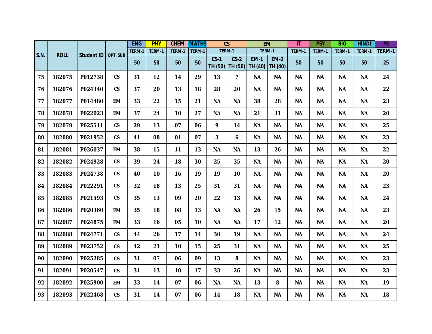|      |             |                   |                          | <b>ENG</b> | <b>PHY</b> | <b>CHEM</b>     | <b>MATHS</b> | $\overline{\text{CS}}$ |                         |                        | <b>EM</b>              | $\overline{\mathsf{I}}$ | <b>PSY</b> | <b>BIO</b> | <b>HINDI</b> | PE     |
|------|-------------|-------------------|--------------------------|------------|------------|-----------------|--------------|------------------------|-------------------------|------------------------|------------------------|-------------------------|------------|------------|--------------|--------|
|      |             |                   |                          | TERM-1     | TERM-1     | TERM-1          | TERM-1       | TERM-1                 |                         |                        | TERM-1                 | TERM-1                  | TERM-1     | TERM-1     | TERM-1       | TERM-1 |
| S.N. | <b>ROLL</b> | <b>Student ID</b> | OPT. SUB                 | 50         | 50         | 50              | 50           | $CS-1$<br>TH (50)      | $CS-2$<br>TH (50)       | <b>EM-1</b><br>TH (40) | <b>EM-2</b><br>TH (40) | 50                      | 50         | 50         | 50           | 25     |
| 75   | 182075      | P012738           | $\mathsf{CS}\phantom{0}$ | 31         | 12         | 14              | 29           | 13                     | $\overline{\mathbf{z}}$ | <b>NA</b>              | <b>NA</b>              | <b>NA</b>               | <b>NA</b>  | <b>NA</b>  | <b>NA</b>    | 24     |
| 76   | 182076      | P024340           | $\mathsf{CS}\phantom{0}$ | 37         | 20         | 13              | 18           | 28                     | 20                      | <b>NA</b>              | <b>NA</b>              | <b>NA</b>               | <b>NA</b>  | <b>NA</b>  | <b>NA</b>    | 22     |
| 77   | 182077      | P014480           | <b>EM</b>                | 33         | 22         | 15              | 21           | <b>NA</b>              | <b>NA</b>               | 38                     | 28                     | <b>NA</b>               | <b>NA</b>  | <b>NA</b>  | <b>NA</b>    | 23     |
| 78   | 182078      | P022023           | <b>EM</b>                | 37         | 24         | 10 <sub>1</sub> | 27           | <b>NA</b>              | <b>NA</b>               | 21                     | 31                     | <b>NA</b>               | <b>NA</b>  | <b>NA</b>  | <b>NA</b>    | 20     |
| 79   | 182079      | P025511           | $\mathsf{CS}\phantom{0}$ | 29         | 13         | 07              | 06           | 9                      | 14                      | <b>NA</b>              | <b>NA</b>              | <b>NA</b>               | <b>NA</b>  | <b>NA</b>  | <b>NA</b>    | 25     |
| 80   | 182080      | P021952           | $\mathsf{CS}\phantom{0}$ | 41         | 08         | 01              | 07           | 3                      | 6                       | <b>NA</b>              | <b>NA</b>              | <b>NA</b>               | <b>NA</b>  | <b>NA</b>  | <b>NA</b>    | 23     |
| 81   | 182081      | P026037           | EM                       | 38         | 15         | 11              | 13           | <b>NA</b>              | <b>NA</b>               | 13                     | 26                     | <b>NA</b>               | <b>NA</b>  | <b>NA</b>  | <b>NA</b>    | 22     |
| 82   | 182082      | P024928           | $\mathsf{CS}\phantom{0}$ | 39         | 24         | 18              | 30           | 25                     | 35                      | <b>NA</b>              | <b>NA</b>              | <b>NA</b>               | <b>NA</b>  | <b>NA</b>  | <b>NA</b>    | 20     |
| 83   | 182083      | P024738           | $\mathsf{CS}$            | 40         | 10         | 16              | 19           | 19                     | 10                      | <b>NA</b>              | <b>NA</b>              | <b>NA</b>               | <b>NA</b>  | <b>NA</b>  | <b>NA</b>    | 20     |
| 84   | 182084      | P022291           | $\mathsf{CS}\phantom{0}$ | 32         | 18         | 13              | 25           | 31                     | 31                      | <b>NA</b>              | <b>NA</b>              | <b>NA</b>               | <b>NA</b>  | <b>NA</b>  | <b>NA</b>    | 23     |
| 85   | 182085      | P021593           | $\mathsf{CS}\phantom{0}$ | 35         | 13         | 09              | 20           | 22                     | 13                      | <b>NA</b>              | <b>NA</b>              | <b>NA</b>               | <b>NA</b>  | <b>NA</b>  | <b>NA</b>    | 24     |
| 86   | 182086      | P020360           | <b>EM</b>                | 35         | 18         | 08              | 13           | <b>NA</b>              | <b>NA</b>               | 26                     | 15                     | <b>NA</b>               | <b>NA</b>  | <b>NA</b>  | <b>NA</b>    | 23     |
| 87   | 182087      | P024875           | <b>EM</b>                | 33         | 16         | 05              | 10           | <b>NA</b>              | <b>NA</b>               | 17                     | 12                     | <b>NA</b>               | <b>NA</b>  | <b>NA</b>  | <b>NA</b>    | 20     |
| 88   | 182088      | P024771           | $\mathsf{CS}$            | 44         | 26         | 17              | 14           | 30                     | 19                      | <b>NA</b>              | <b>NA</b>              | <b>NA</b>               | <b>NA</b>  | <b>NA</b>  | <b>NA</b>    | 24     |
| 89   | 182089      | P023752           | $\mathsf{CS}\phantom{0}$ | 42         | 21         | 10              | 15           | 25                     | 31                      | <b>NA</b>              | <b>NA</b>              | <b>NA</b>               | <b>NA</b>  | <b>NA</b>  | <b>NA</b>    | 25     |
| 90   | 182090      | P025285           | $\mathsf{CS}\phantom{0}$ | 31         | 07         | 06              | 09           | 13                     | 8                       | <b>NA</b>              | <b>NA</b>              | <b>NA</b>               | <b>NA</b>  | <b>NA</b>  | <b>NA</b>    | 23     |
| 91   | 182091      | P020547           | $\mathsf{CS}$            | 31         | 13         | 10 <sub>1</sub> | 17           | 33                     | 26                      | <b>NA</b>              | <b>NA</b>              | <b>NA</b>               | <b>NA</b>  | <b>NA</b>  | <b>NA</b>    | 23     |
| 92   | 182092      | P025900           | <b>EM</b>                | 33         | 14         | 07              | 06           | <b>NA</b>              | <b>NA</b>               | 13                     | 8                      | <b>NA</b>               | <b>NA</b>  | <b>NA</b>  | <b>NA</b>    | 19     |
| 93   | 182093      | P022468           | $\mathsf{CS}\phantom{0}$ | 31         | 14         | 07              | 06           | 14                     | 18                      | <b>NA</b>              | <b>NA</b>              | <b>NA</b>               | <b>NA</b>  | <b>NA</b>  | <b>NA</b>    | 18     |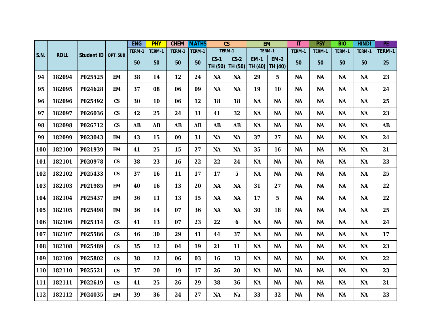|      |             |                   |                          | <b>ENG</b> | <b>PHY</b> | <b>CHEM</b> | <b>MATHS</b> |                   | $\mathsf{CS}$     |                        | <b>EM</b>              | IT        | <b>PSY</b> | <b>BIO</b> | <b>HINDI</b> | PE        |
|------|-------------|-------------------|--------------------------|------------|------------|-------------|--------------|-------------------|-------------------|------------------------|------------------------|-----------|------------|------------|--------------|-----------|
| S.N. | <b>ROLL</b> | <b>Student ID</b> | OPT. SUB                 | TERM-1     | TERM-1     | TERM-1      | TERM-1       |                   | TERM-1            | TERM-1                 |                        | TERM-1    | TERM-1     | TERM-1     | TERM-1       | TERM-1    |
|      |             |                   |                          | 50         | 50         | 50          | 50           | $CS-1$<br>TH (50) | $CS-2$<br>TH (50) | <b>EM-1</b><br>TH (40) | <b>EM-2</b><br>TH (40) | 50        | 50         | 50         | 50           | 25        |
| 94   | 182094      | P025525           | <b>EM</b>                | 38         | 14         | 12          | 24           | <b>NA</b>         | <b>NA</b>         | 29                     | 5                      | ΝA        | <b>NA</b>  | <b>NA</b>  | <b>NA</b>    | 23        |
| 95   | 182095      | P024628           | <b>EM</b>                | 37         | 08         | 06          | 09           | <b>NA</b>         | <b>NA</b>         | 19                     | 10                     | <b>NA</b> | <b>NA</b>  | <b>NA</b>  | <b>NA</b>    | 24        |
| 96   | 182096      | P025492           | $\mathsf{CS}\phantom{0}$ | 30         | 10         | 06          | 12           | 18                | 18                | <b>NA</b>              | <b>NA</b>              | <b>NA</b> | <b>NA</b>  | <b>NA</b>  | <b>NA</b>    | 25        |
| 97   | 182097      | P026036           | $\mathsf{CS}\phantom{0}$ | 42         | 25         | 24          | 31           | 41                | 32                | <b>NA</b>              | <b>NA</b>              | <b>NA</b> | <b>NA</b>  | <b>NA</b>  | <b>NA</b>    | 23        |
| 98   | 182098      | P026712           | $\mathsf{CS}\phantom{0}$ | <b>AB</b>  | <b>AB</b>  | <b>AB</b>   | <b>AB</b>    | AB                | <b>AB</b>         | <b>NA</b>              | <b>NA</b>              | <b>NA</b> | <b>NA</b>  | <b>NA</b>  | <b>NA</b>    | <b>AB</b> |
| 99   | 182099      | P023043           | <b>EM</b>                | 43         | 15         | 09          | 31           | <b>NA</b>         | <b>NA</b>         | 37                     | 27                     | <b>NA</b> | <b>NA</b>  | <b>NA</b>  | <b>NA</b>    | 24        |
| 100  | 182100      | P021939           | EM                       | 41         | 25         | 15          | 27           | <b>NA</b>         | <b>NA</b>         | 35                     | 16                     | <b>NA</b> | <b>NA</b>  | <b>NA</b>  | <b>NA</b>    | 21        |
| 101  | 182101      | P020978           | $\mathsf{CS}\phantom{0}$ | 38         | 23         | 16          | 22           | 22                | 24                | <b>NA</b>              | <b>NA</b>              | <b>NA</b> | <b>NA</b>  | <b>NA</b>  | <b>NA</b>    | 23        |
| 102  | 182102      | P025433           | $\mathsf{CS}$            | 37         | 16         | 11          | 17           | 17                | 5                 | <b>NA</b>              | <b>NA</b>              | <b>NA</b> | <b>NA</b>  | <b>NA</b>  | <b>NA</b>    | 25        |
| 103  | 182103      | P021985           | <b>EM</b>                | 40         | 16         | 13          | 20           | <b>NA</b>         | <b>NA</b>         | 31                     | 27                     | <b>NA</b> | <b>NA</b>  | <b>NA</b>  | <b>NA</b>    | 22        |
| 104  | 182104      | P025437           | <b>EM</b>                | 36         | 11         | 13          | 15           | <b>NA</b>         | <b>NA</b>         | 17                     | 5                      | <b>NA</b> | <b>NA</b>  | <b>NA</b>  | <b>NA</b>    | 22        |
| 105  | 182105      | P025498           | EM                       | 36         | 14         | 07          | 36           | <b>NA</b>         | <b>NA</b>         | 30                     | 18                     | <b>NA</b> | <b>NA</b>  | <b>NA</b>  | <b>NA</b>    | 25        |
| 106  | 182106      | P025314           | $\mathsf{CS}\phantom{0}$ | 41         | 13         | 07          | 23           | 22                | 6                 | <b>NA</b>              | <b>NA</b>              | <b>NA</b> | <b>NA</b>  | <b>NA</b>  | <b>NA</b>    | 24        |
| 107  | 182107      | P025586           | $\mathsf{CS}$            | 46         | 30         | 29          | 41           | 44                | 37                | <b>NA</b>              | <b>NA</b>              | <b>NA</b> | <b>NA</b>  | <b>NA</b>  | <b>NA</b>    | 17        |
| 108  | 182108      | P025489           | $\mathsf{CS}\phantom{0}$ | 35         | 12         | 04          | 19           | 21                | 11                | <b>NA</b>              | <b>NA</b>              | <b>NA</b> | <b>NA</b>  | <b>NA</b>  | <b>NA</b>    | 23        |
| 109  | 182109      | P025802           | $\mathsf{CS}\phantom{0}$ | 38         | 12         | 06          | 03           | 16                | 13                | <b>NA</b>              | <b>NA</b>              | <b>NA</b> | <b>NA</b>  | <b>NA</b>  | <b>NA</b>    | 22        |
| 110  | 182110      | P025521           | $\mathsf{CS}\phantom{0}$ | 37         | 20         | 19          | 17           | 26                | 20                | <b>NA</b>              | <b>NA</b>              | <b>NA</b> | <b>NA</b>  | <b>NA</b>  | <b>NA</b>    | 23        |
| 111  | 182111      | P022619           | $\mathsf{CS}\phantom{0}$ | 41         | 25         | 26          | 29           | 38                | 36                | <b>NA</b>              | <b>NA</b>              | <b>NA</b> | <b>NA</b>  | ΝA         | <b>NA</b>    | 21        |
| 112  | 182112      | P024035           | <b>EM</b>                | 39         | 36         | 24          | 27           | <b>NA</b>         | Na                | 33                     | 32                     | <b>NA</b> | <b>NA</b>  | <b>NA</b>  | <b>NA</b>    | 23        |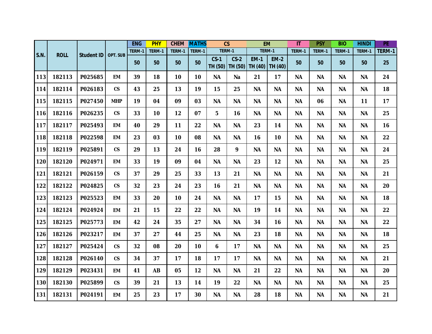|      |             |                   |                          | <b>ENG</b> | <b>PHY</b> | <b>CHEM</b> | <b>MATHS</b> | $\mathsf{CS}$     |                   | <b>EM</b>              |                        | $\overline{\mathsf{I}}$ | <b>PSY</b> | <b>BIO</b> | <b>HINDI</b> | PE     |
|------|-------------|-------------------|--------------------------|------------|------------|-------------|--------------|-------------------|-------------------|------------------------|------------------------|-------------------------|------------|------------|--------------|--------|
|      |             |                   |                          | TERM-1     | TERM-1     | TERM-1      | TERM-1       | TERM-1            |                   | TERM-1                 |                        | TERM-1                  | TERM-1     | TERM-1     | TERM-1       | TERM-1 |
| S.N. | <b>ROLL</b> | <b>Student ID</b> | <b>OPT. SUB</b>          | 50         | 50         | 50          | 50           | $CS-1$<br>TH (50) | $CS-2$<br>TH (50) | <b>EM-1</b><br>TH (40) | <b>EM-2</b><br>TH (40) | 50                      | 50         | 50         | 50           | 25     |
| 113  | 182113      | P025685           | <b>EM</b>                | 39         | 18         | 10          | 10           | <b>NA</b>         | Na                | 21                     | 17                     | <b>NA</b>               | <b>NA</b>  | <b>NA</b>  | <b>NA</b>    | 24     |
| 114  | 182114      | P026183           | $\mathsf{CS}\phantom{0}$ | 43         | 25         | 13          | 19           | 15                | 25                | <b>NA</b>              | <b>NA</b>              | <b>NA</b>               | <b>NA</b>  | <b>NA</b>  | <b>NA</b>    | 18     |
| 115  | 182115      | P027450           | <b>MHP</b>               | 19         | 04         | 09          | 03           | <b>NA</b>         | <b>NA</b>         | <b>NA</b>              | <b>NA</b>              | <b>NA</b>               | 06         | <b>NA</b>  | 11           | 17     |
| 116  | 182116      | P026235           | $\mathsf{CS}\phantom{0}$ | 33         | 10         | 12          | 07           | 5                 | 16                | <b>NA</b>              | <b>NA</b>              | <b>NA</b>               | <b>NA</b>  | <b>NA</b>  | <b>NA</b>    | 25     |
| 117  | 182117      | P025493           | <b>EM</b>                | 40         | 29         | 11          | 22           | <b>NA</b>         | <b>NA</b>         | 23                     | 14                     | <b>NA</b>               | <b>NA</b>  | <b>NA</b>  | <b>NA</b>    | 16     |
| 118  | 182118      | P022598           | <b>EM</b>                | 23         | 03         | 10          | 08           | <b>NA</b>         | <b>NA</b>         | 16                     | 10                     | <b>NA</b>               | <b>NA</b>  | <b>NA</b>  | <b>NA</b>    | 22     |
| 119  | 182119      | P025891           | $\mathsf{CS}\phantom{0}$ | 29         | 13         | 24          | 16           | 28                | 9                 | <b>NA</b>              | <b>NA</b>              | <b>NA</b>               | <b>NA</b>  | <b>NA</b>  | <b>NA</b>    | 24     |
| 120  | 182120      | P024971           | <b>EM</b>                | 33         | 19         | 09          | 04           | <b>NA</b>         | <b>NA</b>         | 23                     | 12                     | <b>NA</b>               | <b>NA</b>  | <b>NA</b>  | <b>NA</b>    | 25     |
| 121  | 182121      | P026159           | $\mathsf{CS}\phantom{0}$ | 37         | 29         | 25          | 33           | 13                | 21                | <b>NA</b>              | <b>NA</b>              | <b>NA</b>               | <b>NA</b>  | <b>NA</b>  | <b>NA</b>    | 21     |
| 122  | 182122      | P024825           | $\mathsf{CS}\phantom{0}$ | 32         | 23         | 24          | 23           | 16                | 21                | <b>NA</b>              | <b>NA</b>              | <b>NA</b>               | <b>NA</b>  | <b>NA</b>  | <b>NA</b>    | 20     |
| 123  | 182123      | P025523           | <b>EM</b>                | 33         | 20         | 10          | 24           | <b>NA</b>         | <b>NA</b>         | 17                     | 15                     | <b>NA</b>               | <b>NA</b>  | <b>NA</b>  | <b>NA</b>    | 18     |
| 124  | 182124      | P024924           | EM                       | 21         | 15         | 22          | 22           | <b>NA</b>         | <b>NA</b>         | 19                     | 14                     | <b>NA</b>               | <b>NA</b>  | <b>NA</b>  | <b>NA</b>    | 22     |
| 125  | 182125      | P025773           | <b>EM</b>                | 42         | 24         | 35          | 27           | <b>NA</b>         | <b>NA</b>         | 34                     | 16                     | <b>NA</b>               | <b>NA</b>  | <b>NA</b>  | <b>NA</b>    | 22     |
| 126  | 182126      | P023217           | <b>EM</b>                | 37         | 27         | 44          | 25           | <b>NA</b>         | <b>NA</b>         | 23                     | 18                     | <b>NA</b>               | <b>NA</b>  | <b>NA</b>  | <b>NA</b>    | 18     |
| 127  | 182127      | P025424           | $\mathsf{CS}\phantom{0}$ | 32         | 08         | 20          | 10           | 6                 | 17                | <b>NA</b>              | <b>NA</b>              | <b>NA</b>               | <b>NA</b>  | <b>NA</b>  | <b>NA</b>    | 25     |
| 128  | 182128      | P026140           | $\mathsf{CS}\phantom{0}$ | 34         | 37         | 17          | 18           | 17                | 17                | <b>NA</b>              | <b>NA</b>              | <b>NA</b>               | <b>NA</b>  | <b>NA</b>  | <b>NA</b>    | 21     |
| 129  | 182129      | P023431           | <b>EM</b>                | 41         | <b>AB</b>  | 05          | 12           | <b>NA</b>         | <b>NA</b>         | 21                     | 22                     | <b>NA</b>               | <b>NA</b>  | <b>NA</b>  | <b>NA</b>    | 20     |
| 130  | 182130      | P025899           | $\mathsf{CS}\phantom{0}$ | 39         | 21         | 13          | 14           | 19                | 22                | <b>NA</b>              | <b>NA</b>              | <b>NA</b>               | <b>NA</b>  | <b>NA</b>  | <b>NA</b>    | 25     |
| 131  | 182131      | P024191           | <b>EM</b>                | 25         | 23         | 17          | 30           | <b>NA</b>         | <b>NA</b>         | 28                     | 18                     | <b>NA</b>               | <b>NA</b>  | <b>NA</b>  | <b>NA</b>    | 21     |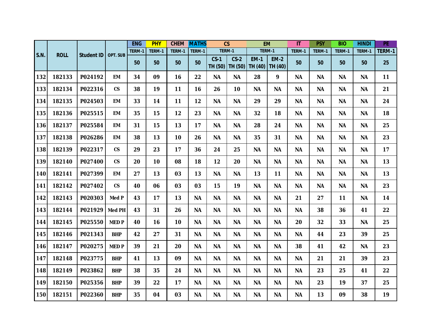|      |             |                   |                          | <b>ENG</b> | <b>PHY</b> | <b>CHEM</b>     | <b>MATHS</b> |                   | $\mathsf{CS}$     | <b>EM</b>              |                        | $\mathsf{I}\mathsf{T}$ | <b>PSY</b> | <b>BIO</b> | <b>HINDI</b> | PE     |
|------|-------------|-------------------|--------------------------|------------|------------|-----------------|--------------|-------------------|-------------------|------------------------|------------------------|------------------------|------------|------------|--------------|--------|
|      |             |                   |                          | TERM-1     | TERM-1     | TERM-1          | TERM-1       |                   | TERM-1            | TERM-1                 |                        | TERM-1                 | TERM-1     | TERM-1     | TERM-1       | TERM-1 |
| S.N. | <b>ROLL</b> | <b>Student ID</b> | <b>OPT. SUB</b>          | 50         | 50         | 50              | 50           | $CS-1$<br>TH (50) | $CS-2$<br>TH (50) | <b>EM-1</b><br>TH (40) | <b>EM-2</b><br>TH (40) | 50                     | 50         | 50         | 50           | 25     |
| 132  | 182133      | P024192           | <b>EM</b>                | 34         | 09         | 16              | 22           | <b>NA</b>         | <b>NA</b>         | 28                     | 9                      | <b>NA</b>              | <b>NA</b>  | <b>NA</b>  | <b>NA</b>    | 11     |
| 133  | 182134      | P022316           | $\mathsf{CS}\phantom{0}$ | 38         | 19         | 11              | 16           | 26                | 10                | <b>NA</b>              | <b>NA</b>              | <b>NA</b>              | <b>NA</b>  | <b>NA</b>  | <b>NA</b>    | 21     |
| 134  | 182135      | P024503           | <b>EM</b>                | 33         | 14         | 11              | 12           | <b>NA</b>         | <b>NA</b>         | 29                     | 29                     | <b>NA</b>              | <b>NA</b>  | <b>NA</b>  | <b>NA</b>    | 24     |
| 135  | 182136      | P025515           | <b>EM</b>                | 35         | 15         | 12              | 23           | <b>NA</b>         | <b>NA</b>         | 32                     | 18                     | <b>NA</b>              | <b>NA</b>  | <b>NA</b>  | <b>NA</b>    | 18     |
| 136  | 182137      | P025584           | <b>EM</b>                | 31         | 15         | 13              | 17           | <b>NA</b>         | <b>NA</b>         | 28                     | 24                     | <b>NA</b>              | <b>NA</b>  | <b>NA</b>  | <b>NA</b>    | 25     |
| 137  | 182138      | P026286           | <b>EM</b>                | 38         | 13         | 10 <sub>1</sub> | 26           | <b>NA</b>         | <b>NA</b>         | 35                     | 31                     | <b>NA</b>              | <b>NA</b>  | <b>NA</b>  | <b>NA</b>    | 23     |
| 138  | 182139      | P022317           | $\mathsf{CS}\phantom{0}$ | 29         | 23         | 17              | 36           | 24                | 25                | <b>NA</b>              | <b>NA</b>              | <b>NA</b>              | <b>NA</b>  | <b>NA</b>  | <b>NA</b>    | 17     |
| 139  | 182140      | P027400           | $\mathsf{CS}$            | 20         | 10         | 08              | 18           | 12                | 20                | <b>NA</b>              | <b>NA</b>              | <b>NA</b>              | <b>NA</b>  | <b>NA</b>  | <b>NA</b>    | 13     |
| 140  | 182141      | P027399           | <b>EM</b>                | 27         | 13         | 03              | 13           | <b>NA</b>         | <b>NA</b>         | 13                     | 11                     | <b>NA</b>              | <b>NA</b>  | <b>NA</b>  | <b>NA</b>    | 13     |
| 141  | 182142      | P027402           | $\mathsf{CS}\phantom{0}$ | 40         | 06         | 03              | 03           | 15                | 19                | <b>NA</b>              | <b>NA</b>              | <b>NA</b>              | <b>NA</b>  | <b>NA</b>  | <b>NA</b>    | 23     |
| 142  | 182143      | P020303           | Med P                    | 43         | 17         | 13              | <b>NA</b>    | <b>NA</b>         | <b>NA</b>         | <b>NA</b>              | <b>NA</b>              | 21                     | 27         | 11         | <b>NA</b>    | 14     |
| 143  | 182144      | P021929           | <b>Med PH</b>            | 43         | 31         | 26              | <b>NA</b>    | <b>NA</b>         | <b>NA</b>         | <b>NA</b>              | <b>NA</b>              | <b>NA</b>              | 38         | 36         | 41           | 22     |
| 144  | 182145      | P025550           | <b>MEDP</b>              | 40         | 16         | 10              | <b>NA</b>    | <b>NA</b>         | <b>NA</b>         | <b>NA</b>              | <b>NA</b>              | 20                     | 32         | 33         | <b>NA</b>    | 25     |
| 145  | 182146      | P021343           | <b>BHP</b>               | 42         | 27         | 31              | <b>NA</b>    | <b>NA</b>         | <b>NA</b>         | <b>NA</b>              | <b>NA</b>              | <b>NA</b>              | 44         | 23         | 39           | 25     |
| 146  | 182147      | P020275           | <b>MEDP</b>              | 39         | 21         | 20              | <b>NA</b>    | <b>NA</b>         | <b>NA</b>         | <b>NA</b>              | <b>NA</b>              | 38                     | 41         | 42         | <b>NA</b>    | 23     |
| 147  | 182148      | P023775           | <b>BHP</b>               | 41         | 13         | 09              | <b>NA</b>    | <b>NA</b>         | <b>NA</b>         | <b>NA</b>              | <b>NA</b>              | <b>NA</b>              | 21         | 21         | 39           | 23     |
| 148  | 182149      | P023862           | <b>BHP</b>               | 38         | 35         | 24              | <b>NA</b>    | <b>NA</b>         | <b>NA</b>         | <b>NA</b>              | <b>NA</b>              | <b>NA</b>              | 23         | 25         | 41           | 22     |
| 149  | 182150      | P025356           | <b>BHP</b>               | 39         | 22         | 17              | <b>NA</b>    | <b>NA</b>         | <b>NA</b>         | <b>NA</b>              | <b>NA</b>              | <b>NA</b>              | 23         | 19         | 37           | 25     |
| 150  | 182151      | P022360           | <b>BHP</b>               | 35         | 04         | 03              | <b>NA</b>    | <b>NA</b>         | <b>NA</b>         | <b>NA</b>              | <b>NA</b>              | <b>NA</b>              | 13         | 09         | 38           | 19     |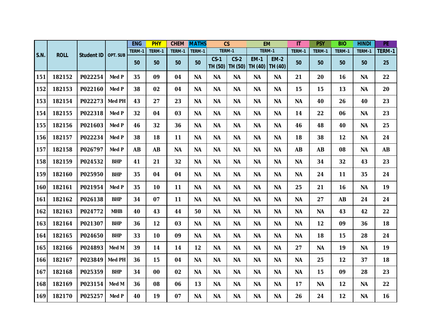|      |             |                   |               | <b>ENG</b> | <b>PHY</b> | <b>CHEM</b> | <b>MATHS</b> |                   | $\overline{\text{cs}}$ |                        | <b>EM</b>              | $\overline{\mathsf{I}\mathsf{T}}$ | <b>PSY</b> | <b>BIO</b> | <b>HINDI</b> | PE        |
|------|-------------|-------------------|---------------|------------|------------|-------------|--------------|-------------------|------------------------|------------------------|------------------------|-----------------------------------|------------|------------|--------------|-----------|
| S.N. | <b>ROLL</b> | <b>Student ID</b> | OPT. SUB      | TERM-1     | TERM-1     | TERM-1      | TERM-1       |                   | TERM-1                 | TERM-1                 |                        | TERM-1                            | TERM-1     | TERM-1     | TERM-1       | TERM-1    |
|      |             |                   |               | 50         | 50         | 50          | 50           | $CS-1$<br>TH (50) | $CS-2$<br>TH (50)      | <b>EM-1</b><br>TH (40) | <b>EM-2</b><br>TH (40) | 50                                | 50         | 50         | 50           | 25        |
| 151  | 182152      | P022254           | Med P         | 35         | 09         | 04          | <b>NA</b>    | <b>NA</b>         | <b>NA</b>              | <b>NA</b>              | <b>NA</b>              | 21                                | 20         | 16         | <b>NA</b>    | 22        |
| 152  | 182153      | P022160           | Med P         | 38         | 02         | 04          | <b>NA</b>    | <b>NA</b>         | <b>NA</b>              | <b>NA</b>              | <b>NA</b>              | 15                                | 15         | 13         | <b>NA</b>    | 20        |
| 153  | 182154      | P022273           | <b>Med PH</b> | 43         | 27         | 23          | <b>NA</b>    | <b>NA</b>         | <b>NA</b>              | <b>NA</b>              | <b>NA</b>              | <b>NA</b>                         | 40         | 26         | 40           | 23        |
| 154  | 182155      | P022318           | Med P         | 32         | 04         | 03          | <b>NA</b>    | <b>NA</b>         | <b>NA</b>              | <b>NA</b>              | <b>NA</b>              | 14                                | 22         | 06         | <b>NA</b>    | 23        |
| 155  | 182156      | P021603           | Med P         | 46         | 32         | 36          | <b>NA</b>    | <b>NA</b>         | <b>NA</b>              | <b>NA</b>              | <b>NA</b>              | 46                                | 48         | 40         | <b>NA</b>    | 25        |
| 156  | 182157      | P022234           | Med P         | 38         | 18         | 11          | <b>NA</b>    | <b>NA</b>         | <b>NA</b>              | <b>NA</b>              | <b>NA</b>              | 18                                | 38         | 12         | <b>NA</b>    | 24        |
| 157  | 182158      | P026797           | Med P         | <b>AB</b>  | <b>AB</b>  | <b>NA</b>   | <b>NA</b>    | <b>NA</b>         | <b>NA</b>              | <b>NA</b>              | <b>NA</b>              | <b>AB</b>                         | <b>AB</b>  | 08         | <b>NA</b>    | <b>AB</b> |
| 158  | 182159      | P024532           | <b>BHP</b>    | 41         | 21         | 32          | <b>NA</b>    | <b>NA</b>         | <b>NA</b>              | <b>NA</b>              | <b>NA</b>              | <b>NA</b>                         | 34         | 32         | 43           | 23        |
| 159  | 182160      | P025950           | <b>BHP</b>    | 35         | 04         | 04          | <b>NA</b>    | <b>NA</b>         | <b>NA</b>              | <b>NA</b>              | <b>NA</b>              | <b>NA</b>                         | 24         | 11         | 35           | 24        |
| 160  | 182161      | P021954           | Med P         | 35         | 10         | 11          | <b>NA</b>    | <b>NA</b>         | <b>NA</b>              | <b>NA</b>              | <b>NA</b>              | 25                                | 21         | 16         | <b>NA</b>    | 19        |
| 161  | 182162      | P026138           | <b>BHP</b>    | 34         | 07         | 11          | <b>NA</b>    | <b>NA</b>         | <b>NA</b>              | <b>NA</b>              | <b>NA</b>              | <b>NA</b>                         | 27         | <b>AB</b>  | 24           | 24        |
| 162  | 182163      | P024772           | <b>MHB</b>    | 40         | 43         | 44          | 50           | <b>NA</b>         | <b>NA</b>              | <b>NA</b>              | <b>NA</b>              | <b>NA</b>                         | <b>NA</b>  | 43         | 42           | 22        |
| 163  | 182164      | P021307           | <b>BHP</b>    | 36         | 12         | 03          | <b>NA</b>    | <b>NA</b>         | <b>NA</b>              | <b>NA</b>              | <b>NA</b>              | ΝA                                | 12         | 09         | 36           | 18        |
| 164  | 182165      | P024650           | <b>BHP</b>    | 33         | 10         | 09          | <b>NA</b>    | <b>NA</b>         | <b>NA</b>              | <b>NA</b>              | <b>NA</b>              | <b>NA</b>                         | 18         | 15         | 28           | 24        |
| 165  | 182166      | P024893           | Med M         | 39         | 14         | 14          | 12           | <b>NA</b>         | <b>NA</b>              | <b>NA</b>              | <b>NA</b>              | 27                                | <b>NA</b>  | 19         | <b>NA</b>    | 19        |
| 166  | 182167      | P023849           | <b>Med PH</b> | 36         | 15         | 04          | <b>NA</b>    | <b>NA</b>         | <b>NA</b>              | <b>NA</b>              | <b>NA</b>              | <b>NA</b>                         | 25         | 12         | 37           | 18        |
| 167  | 182168      | P025359           | <b>BHP</b>    | 34         | 00         | 02          | <b>NA</b>    | <b>NA</b>         | <b>NA</b>              | <b>NA</b>              | <b>NA</b>              | <b>NA</b>                         | 15         | 09         | 28           | 23        |
| 168  | 182169      | P023154           | Med M         | 36         | 08         | 06          | 13           | <b>NA</b>         | <b>NA</b>              | <b>NA</b>              | <b>NA</b>              | 17                                | <b>NA</b>  | 12         | <b>NA</b>    | 22        |
| 169  | 182170      | P025257           | Med P         | 40         | 19         | 07          | <b>NA</b>    | <b>NA</b>         | <b>NA</b>              | <b>NA</b>              | <b>NA</b>              | 26                                | 24         | 12         | <b>NA</b>    | 16        |